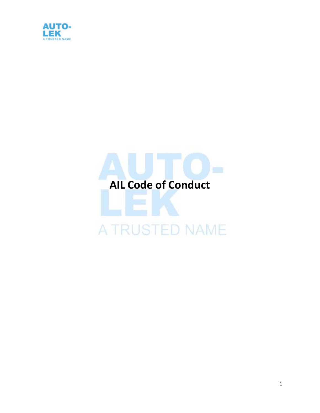

# **AIL Code of Conduct**

## A TRUSTED NAME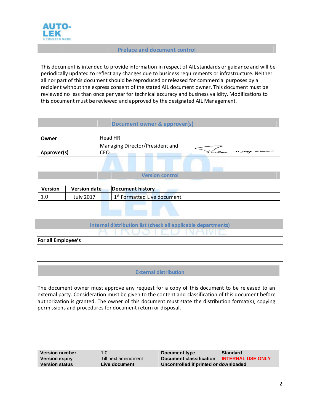

l

#### **Preface and document control**

This document is intended to provide information in respect of AIL standards or guidance and will be periodically updated to reflect any changes due to business requirements or infrastructure. Neither all nor part of this document should be reproduced or released for commercial purposes by a recipient without the express consent of the stated AIL document owner. This document must be reviewed no less than once per year for technical accuracy and business validity. Modifications to this document must be reviewed and approved by the designated AIL Management.

| Document owner & approver(s)                                  |                     |                                                                  |  |  |  |  |
|---------------------------------------------------------------|---------------------|------------------------------------------------------------------|--|--|--|--|
| Owner                                                         |                     | <b>Head HR</b>                                                   |  |  |  |  |
| Approver(s)                                                   |                     | Managing Director/President and<br>Saa<br>$-9 - 7$<br><b>CEO</b> |  |  |  |  |
|                                                               |                     |                                                                  |  |  |  |  |
| <b>Version control</b>                                        |                     |                                                                  |  |  |  |  |
| Version                                                       | <b>Version date</b> | <b>Document history</b>                                          |  |  |  |  |
| 1.0                                                           | <b>July 2017</b>    | 1st Formatted Live document.                                     |  |  |  |  |
|                                                               |                     |                                                                  |  |  |  |  |
| Internal distribution list (check all applicable departments) |                     |                                                                  |  |  |  |  |
|                                                               |                     |                                                                  |  |  |  |  |
| For all Employee's                                            |                     |                                                                  |  |  |  |  |
|                                                               |                     |                                                                  |  |  |  |  |
|                                                               |                     |                                                                  |  |  |  |  |
|                                                               |                     | <b>External distribution</b>                                     |  |  |  |  |

The document owner must approve any request for a copy of this document to be released to an external party. Consideration must be given to the content and classification of this document before authorization is granted. The owner of this document must state the distribution format(s), copying permissions and procedures for document return or disposal.

| <b>Version number</b> | 1.0                 | Document type                         | <b>Standard</b>          |
|-----------------------|---------------------|---------------------------------------|--------------------------|
| <b>Version expiry</b> | Till next amendment | Document classification               | <b>INTERNAL USE ONLY</b> |
| <b>Version status</b> | Live document       | Uncontrolled if printed or downloaded |                          |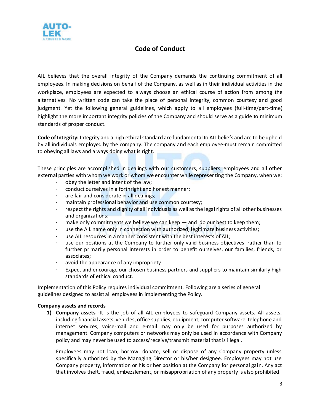

### **Code of Conduct**

AIL believes that the overall integrity of the Company demands the continuing commitment of all employees. In making decisions on behalf of the Company, as well as in their individual activities in the workplace, employees are expected to always choose an ethical course of action from among the alternatives. No written code can take the place of personal integrity, common courtesy and good judgment. Yet the following general guidelines, which apply to all employees (full-time/part-time) highlight the more important integrity policies of the Company and should serve as a guide to minimum standards of proper conduct.

**Code of Integrity:** Integrity and a high ethical standard are fundamental to AIL beliefs and are to be upheld by all individuals employed by the company. The company and each employee-must remain committed to obeying all laws and always doing what is right.

These principles are accomplished in dealings with our customers, suppliers, employees and all other external parties with whom we work or whom we encounter while representing the Company, when we:

- obey the letter and intent of the law;
- conduct ourselves in a forthright and honest manner;
- are fair and considerate in all dealings;
- maintain professional behavior and use common courtesy;
- · respect the rights and dignity of all individuals as well as the legal rights of all other businesses and organizations;
- make only commitments we believe we can keep  $-$  and do our best to keep them;
- · use the AIL name only in connection with authorized, legitimate business activities;
- use AIL resources in a manner consistent with the best interests of AIL;
- use our positions at the Company to further only valid business objectives, rather than to further primarily personal interests in order to benefit ourselves, our families, friends, or associates;
- · avoid the appearance of any impropriety
- Expect and encourage our chosen business partners and suppliers to maintain similarly high standards of ethical conduct.

Implementation of this Policy requires individual commitment. Following are a series of general guidelines designed to assist all employees in implementing the Policy.

#### **Company assets and records**

**1) Company assets -**It is the job of all AIL employees to safeguard Company assets. All assets, including financial assets, vehicles, office supplies, equipment, computer software, telephone and internet services, voice-mail and e-mail may only be used for purposes authorized by management. Company computers or networks may only be used in accordance with Company policy and may never be used to access/receive/transmit material that is illegal.

Employees may not loan, borrow, donate, sell or dispose of any Company property unless specifically authorized by the Managing Director or his/her designee. Employees may not use Company property, information or his or her position at the Company for personal gain. Any act that involves theft, fraud, embezzlement, or misappropriation of any property is also prohibited.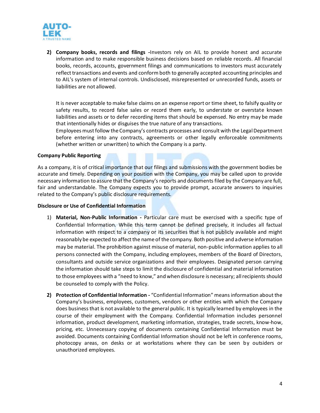

**2) Company books, records and filings -**Investors rely on AIL to provide honest and accurate information and to make responsible business decisions based on reliable records. All financial books, records, accounts, government filings and communications to investors must accurately reflect transactions and events and conform both to generally accepted accounting principles and to AIL's system of internal controls. Undisclosed, misrepresented or unrecorded funds, assets or liabilities are not allowed.

It is never acceptable to make false claims on an expense report or time sheet, to falsify quality or safety results, to record false sales or record them early, to understate or overstate known liabilities and assets or to defer recording items that should be expensed. No entry may be made that intentionally hides or disguises the true nature of any transactions.

Employees must follow the Company's contracts processes and consult with the Legal Department before entering into any contracts, agreements or other legally enforceable commitments (whether written or unwritten) to which the Company is a party.

#### **Company Public Reporting**

As a company, it is of critical importance that our filings and submissions with the government bodies be accurate and timely. Depending on your position with the Company, you may be called upon to provide necessary information to assure that the Company's reports and documents filed by the Company are full, fair and understandable. The Company expects you to provide prompt, accurate answers to inquiries related to the Company's public disclosure requirements.

#### **Disclosure or Use of Confidential Information**

- 1) **Material, Non-Public Information -** Particular care must be exercised with a specific type of Confidential Information. While this term cannot be defined precisely, it includes all factual information with respect to a company or its securities that is not publicly available and might reasonably be expected to affect the name of the company. Both positive and adverse information may be material. The prohibition against misuse of material, non-public information applies to all persons connected with the Company, including employees, members of the Board of Directors, consultants and outside service organizations and their employees. Designated person carrying the information should take steps to limit the disclosure of confidential and material information to those employees with a "need to know," and when disclosure is necessary; all recipients should be counseled to comply with the Policy.
- **2) Protection of Confidential Information -** "Confidential Information" means information about the Company's business, employees, customers, vendors or other entities with which the Company does business that is not available to the general public. It is typically learned by employees in the course of their employment with the Company. Confidential Information includes personnel information, product development, marketing information, strategies, trade secrets, know-how, pricing, etc. Unnecessary copying of documents containing Confidential Information must be avoided. Documents containing Confidential Information should not be left in conference rooms, photocopy areas, on desks or at workstations where they can be seen by outsiders or unauthorized employees.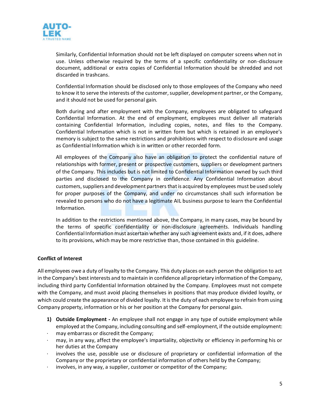

Similarly, Confidential Information should not be left displayed on computer screens when not in use. Unless otherwise required by the terms of a specific confidentiality or non-disclosure document, additional or extra copies of Confidential Information should be shredded and not discarded in trashcans.

Confidential Information should be disclosed only to those employees of the Company who need to know it to serve the interests of the customer, supplier, development partner, or the Company, and it should not be used for personal gain.

Both during and after employment with the Company, employees are obligated to safeguard Confidential Information. At the end of employment, employees must deliver all materials containing Confidential Information, including copies, notes, and files to the Company. Confidential Information which is not in written form but which is retained in an employee's memory is subject to the same restrictions and prohibitions with respect to disclosure and usage as Confidential Information which is in written or other recorded form.

All employees of the Company also have an obligation to protect the confidential nature of relationships with former, present or prospective customers, suppliers or development partners of the Company. This includes but is not limited to Confidential Information owned by such third parties and disclosed to the Company in confidence. Any Confidential Information about customers, suppliers and development partners that is acquired by employees must be used solely for proper purposes of the Company, and under no circumstances shall such information be revealed to persons who do not have a legitimate AIL business purpose to learn the Confidential Information.

In addition to the restrictions mentioned above, the Company, in many cases, may be bound by the terms of specific confidentiality or non-disclosure agreements. Individuals handling Confidential Information must ascertain whether any such agreement exists and, if it does, adhere to its provisions, which may be more restrictive than, those contained in this guideline.

#### **Conflict of Interest**

All employees owe a duty of loyalty to the Company. This duty places on each person the obligation to act in the Company's best interests and to maintain in confidence all proprietary information of the Company, including third party Confidential Information obtained by the Company. Employees must not compete with the Company, and must avoid placing themselves in positions that may produce divided loyalty, or which could create the appearance of divided loyalty. It is the duty of each employee to refrain from using Company property, information or his or her position at the Company for personal gain.

- **1) Outside Employment -** An employee shall not engage in any type of outside employment while employed at the Company, including consulting and self-employment, if the outside employment:
- may embarrass or discredit the Company;
- · may, in any way, affect the employee's impartiality, objectivity or efficiency in performing his or her duties at the Company
- involves the use, possible use or disclosure of proprietary or confidential information of the Company or the proprietary or confidential information of others held by the Company;
- · involves, in any way, a supplier, customer or competitor of the Company;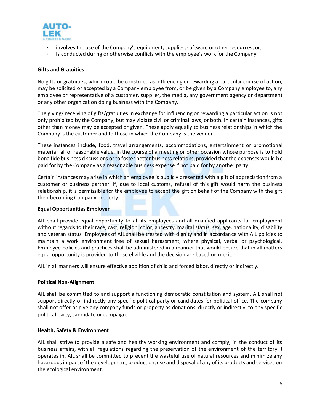

- raveted name<br>· involves the use of the Company's equipment, supplies, software or other resources; or,
- Is conducted during or otherwise conflicts with the employee's work for the Company.

#### **Gifts and Gratuities**

No gifts or gratuities, which could be construed as influencing or rewarding a particular course of action, may be solicited or accepted by a Company employee from, or be given by a Company employee to, any employee or representative of a customer, supplier, the media, any government agency or department or any other organization doing business with the Company.

The giving/ receiving of gifts/gratuities in exchange for influencing or rewarding a particular action is not only prohibited by the Company, but may violate civil or criminal laws, or both. In certain instances, gifts other than money may be accepted or given. These apply equally to business relationships in which the Company is the customer and to those in which the Company is the vendor.

These instances include, food, travel arrangements, accommodations, entertainment or promotional material, all of reasonable value, in the course of a meeting or other occasion whose purpose is to hold bona fide business discussions or to foster better business relations, provided that the expenses would be paid for by the Company as a reasonable business expense if not paid for by another party.

Certain instances may arise in which an employee is publicly presented with a gift of appreciation from a customer or business partner. If, due to local customs, refusal of this gift would harm the business relationship, it is permissible for the employee to accept the gift on behalf of the Company with the gift then becoming Company property.

#### **Equal Opportunities Employer**

AIL shall provide equal opportunity to all its employees and all qualified applicants for employment without regards to their race, cast, religion, color, ancestry, marital status, sex, age, nationality, disability and veteran status. Employees of AIL shall be treated with dignity and in accordance with AIL policies to maintain a work environment free of sexual harassment, where physical, verbal or psychological. Employee policies and practices shall be administered in a manner that would ensure that in all matters equal opportunity is provided to those eligible and the decision are based on merit.

AIL in all manners will ensure effective abolition of child and forced labor, directly or indirectly.

#### **Political Non-Alignment**

AIL shall be committed to and support a functioning democratic constitution and system. AIL shall not support directly or indirectly any specific political party or candidates for political office. The company shall not offer or give any company funds or property as donations, directly or indirectly, to any specific political party, candidate or campaign.

#### **Health, Safety & Environment**

AIL shall strive to provide a safe and healthy working environment and comply, in the conduct of its business affairs, with all regulations regarding the preservation of the environment of the territory it operates in. AIL shall be committed to prevent the wasteful use of natural resources and minimize any hazardous impact of the development, production, use and disposal of any of its products and services on the ecological environment.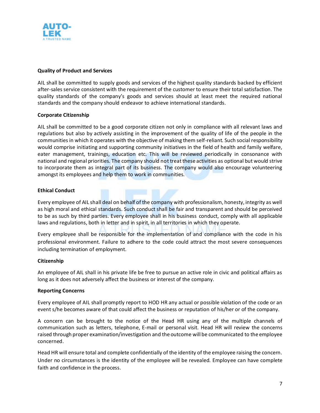

AIL shall be committed to supply goods and services of the highest quality standards backed by efficient after-sales service consistent with the requirement of the customer to ensure their total satisfaction. The quality standards of the company's goods and services should at least meet the required national standards and the company should endeavor to achieve international standards.

#### **Corporate Citizenship**

AIL shall be committed to be a good corporate citizen not only in compliance with all relevant laws and regulations but also by actively assisting in the improvement of the quality of life of the people in the communities in which it operates with the objective of making them self-reliant. Such social responsibility would comprise initiating and supporting community initiatives in the field of health and family welfare, eater management, trainings, education etc. This will be reviewed periodically in consonance with national and regional priorities. The company should not treat these activities as optional but would strive to incorporate them as integral part of its business. The company would also encourage volunteering amongst its employees and help them to work in communities.

#### **Ethical Conduct**

Every employee of AIL shall deal on behalf of the company with professionalism, honesty, integrity as well as high moral and ethical standards. Such conduct shall be fair and transparent and should be perceived to be as such by third parties. Every employee shall in his business conduct, comply with all applicable laws and regulations, both in letter and in spirit, in all territories in which they operate.

Every employee shall be responsible for the implementation of and compliance with the code in his professional environment. Failure to adhere to the code could attract the most severe consequences including termination of employment.

#### **Citizenship**

An employee of AIL shall in his private life be free to pursue an active role in civic and political affairs as long as it does not adversely affect the business or interest of the company.

#### **Reporting Concerns**

Every employee of AIL shall promptly report to HOD HR any actual or possible violation of the code or an event s/he becomes aware of that could affect the business or reputation of his/her or of the company.

A concern can be brought to the notice of the Head HR using any of the multiple channels of communication such as letters, telephone, E-mail or personal visit. Head HR will review the concerns raised through proper examination/investigation and the outcome will be communicated to the employee concerned.

Head HR will ensure total and complete confidentially of the identity of the employee raising the concern. Under no circumstances is the identity of the employee will be revealed. Employee can have complete faith and confidence in the process.